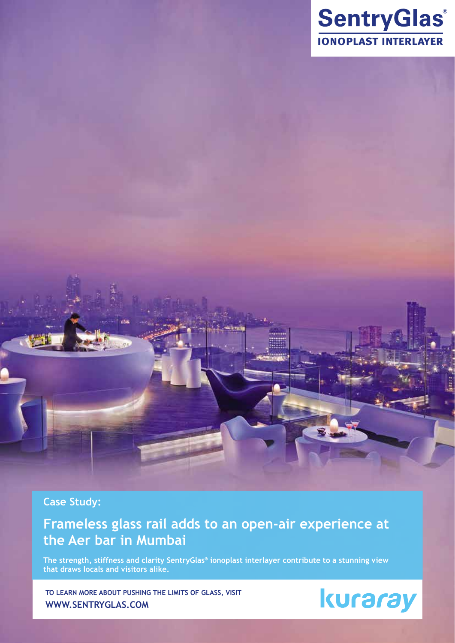

# **Case Study:**

# **Frameless glass rail adds to an open-air experience at the Aer bar in Mumbai**

**The strength, stiffness and clarity SentryGlas® ionoplast interlayer contribute to a stunning view that draws locals and visitors alike.**

**To learn more about pushing the limits of glass, visit www.sentryglas.com**

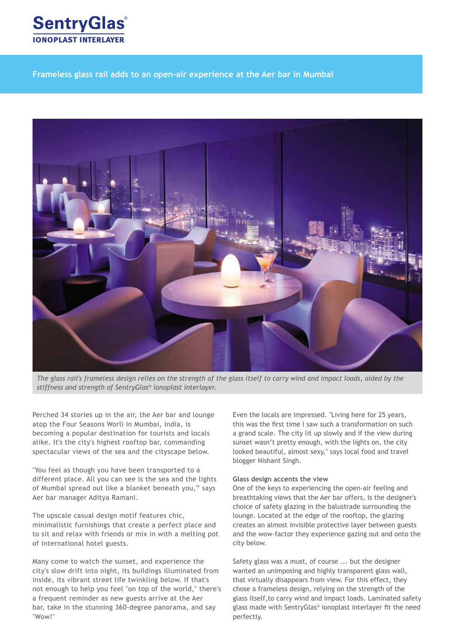

**Frameless glass rail adds to an open-air experience at the Aer bar in Mumbai**



*The glass rail's frameless design relies on the strength of the glass itself to carry wind and impact loads, aided by the stiffness and strength of SentryGlas® ionoplast interlayer.*

Perched 34 stories up in the air, the Aer bar and lounge atop the Four Seasons Worli in Mumbai, India, is becoming a popular destination for tourists and locals alike. It's the city's highest rooftop bar, commanding spectacular views of the sea and the cityscape below.

"You feel as though you have been transported to a different place. All you can see is the sea and the lights of Mumbai spread out like a blanket beneath you," says Aer bar manager Aditya Ramani.

The upscale casual design motif features chic, minimalistic furnishings that create a perfect place and to sit and relax with friends or mix in with a melting pot of international hotel guests.

Many come to watch the sunset, and experience the city's slow drift into night, its buildings illuminated from inside, its vibrant street life twinkling below. If that's not enough to help you feel "on top of the world," there's a frequent reminder as new guests arrive at the Aer bar, take in the stunning 360-degree panorama, and say "Wow!"

Even the locals are impressed. "Living here for 25 years, this was the first time I saw such a transformation on such a grand scale. The city lit up slowly and if the view during sunset wasn't pretty enough, with the lights on, the city looked beautiful, almost sexy," says local food and travel blogger Nishant Singh.

#### **Glass design accents the view**

One of the keys to experiencing the open-air feeling and breathtaking views that the Aer bar offers, is the designer's choice of safety glazing in the balustrade surrounding the lounge. Located at the edge of the rooftop, the glazing creates an almost invisible protective layer between guests and the wow-factor they experience gazing out and onto the city below.

Safety glass was a must, of course ... but the designer wanted an unimposing and highly transparent glass wall, that virtually disappears from view. For this effect, they chose a frameless design, relying on the strength of the glass itself,to carry wind and impact loads. Laminated safety glass made with SentryGlas® ionoplast interlayer fit the need perfectly.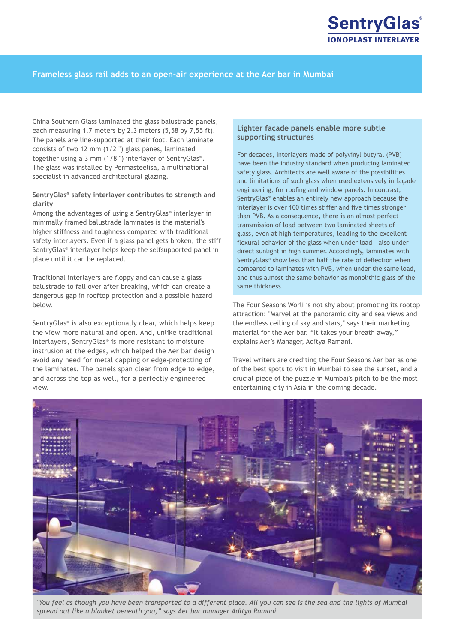

#### **Frameless glass rail adds to an open-air experience at the Aer bar in Mumbai**

China Southern Glass laminated the glass balustrade panels, each measuring 1.7 meters by 2.3 meters (5,58 by 7,55 ft). The panels are line-supported at their foot. Each laminate consists of two 12 mm (1/2 ") glass panes, laminated together using a 3 mm (1/8 ") interlayer of SentryGlas®. The glass was installed by Permasteelisa, a multinational specialist in advanced architectural glazing.

#### **SentryGlas® safety interlayer contributes to strength and clarity**

Among the advantages of using a SentryGlas® interlayer in minimally framed balustrade laminates is the material's higher stiffness and toughness compared with traditional safety interlayers. Even if a glass panel gets broken, the stiff SentryGlas® interlayer helps keep the selfsupported panel in place until it can be replaced.

Traditional interlayers are floppy and can cause a glass balustrade to fall over after breaking, which can create a dangerous gap in rooftop protection and a possible hazard below.

SentryGlas® is also exceptionally clear, which helps keep the view more natural and open. And, unlike traditional interlayers, SentryGlas® is more resistant to moisture instrusion at the edges, which helped the Aer bar design avoid any need for metal capping or edge-protecting of the laminates. The panels span clear from edge to edge, and across the top as well, for a perfectly engineered view.

#### **Lighter façade panels enable more subtle supporting structures**

For decades, interlayers made of polyvinyl butyral (PVB) have been the industry standard when producing laminated safety glass. Architects are well aware of the possibilities and limitations of such glass when used extensively in façade engineering, for roofing and window panels. In contrast, SentryGlas® enables an entirely new approach because the interlayer is over 100 times stiffer and five times stronger than PVB. As a consequence, there is an almost perfect transmission of load between two laminated sheets of glass, even at high temperatures, leading to the excellent flexural behavior of the glass when under load – also under direct sunlight in high summer. Accordingly, laminates with SentryGlas® show less than half the rate of deflection when compared to laminates with PVB, when under the same load, and thus almost the same behavior as monolithic glass of the same thickness.

The Four Seasons Worli is not shy about promoting its rootop attraction: "Marvel at the panoramic city and sea views and the endless ceiling of sky and stars," says their marketing material for the Aer bar. "It takes your breath away," explains Aer's Manager, Aditya Ramani.

Travel writers are crediting the Four Seasons Aer bar as one of the best spots to visit in Mumbai to see the sunset, and a crucial piece of the puzzle in Mumbai's pitch to be the most entertaining city in Asia in the coming decade.



*"You feel as though you have been transported to a different place. All you can see is the sea and the lights of Mumbai spread out like a blanket beneath you," says Aer bar manager Aditya Ramani.*